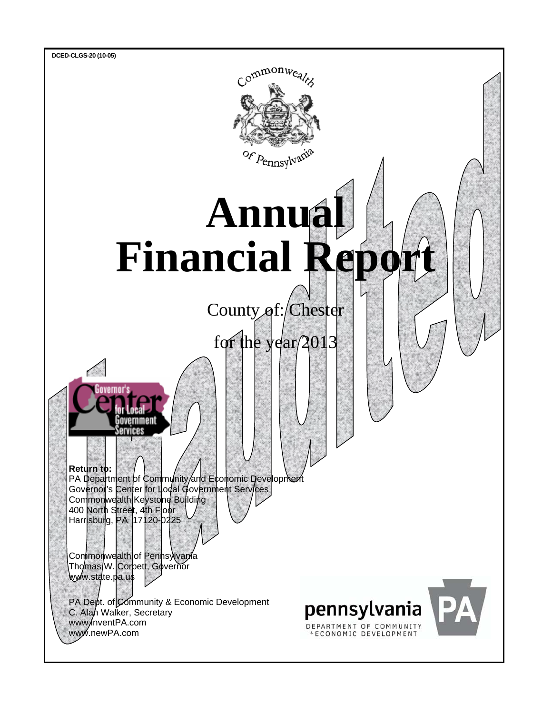



www.newPA.com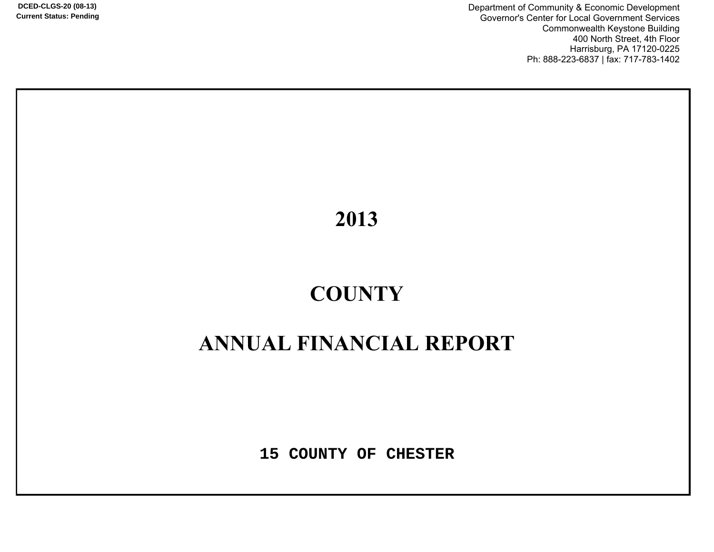**DCED-CLGS-20 (08-13) Current Status: Pending**

Department of Community & Economic Development Governor's Center for Local Government Services Commonwealth Keystone Building 400 North Street, 4th Floor Harrisburg, PA 17120-0225 Ph: 888-223-6837 | fax: 717-783-1402

2013

# **&2817<**

## **ANNUAL FINANCIAL REPORT**

**15 COUNTY OF CHESTER**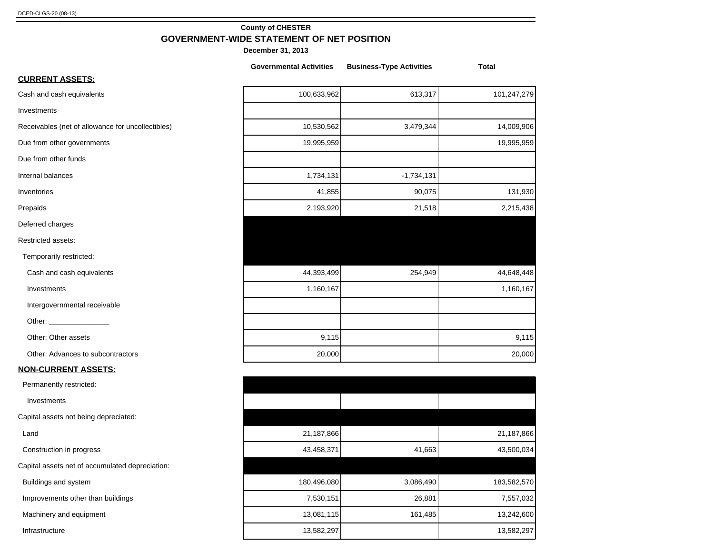#### **County of CHESTER GOVERNMENT-WIDE STATEMENT OF NET POSITION**

|                                                   | <b>Governmental Activities</b> | <b>Business-Type Activities</b> | <b>Total</b> |
|---------------------------------------------------|--------------------------------|---------------------------------|--------------|
| <b>CURRENT ASSETS:</b>                            |                                |                                 |              |
| Cash and cash equivalents                         | 100,633,962                    | 613,317                         | 101,247,279  |
| Investments                                       |                                |                                 |              |
| Receivables (net of allowance for uncollectibles) | 10,530,562                     | 3,479,344                       | 14,009,906   |
| Due from other governments                        | 19,995,959                     |                                 | 19,995,959   |
| Due from other funds                              |                                |                                 |              |
| Internal balances                                 | 1,734,131                      | $-1,734,131$                    |              |
| Inventories                                       | 41,855                         | 90,075                          | 131,930      |
| Prepaids                                          | 2,193,920                      | 21,518                          | 2,215,438    |
| Deferred charges                                  |                                |                                 |              |
| Restricted assets:                                |                                |                                 |              |
| Temporarily restricted:                           |                                |                                 |              |
| Cash and cash equivalents                         | 44,393,499                     | 254,949                         | 44,648,448   |
| Investments                                       | 1,160,167                      |                                 | 1,160,167    |
| Intergovernmental receivable                      |                                |                                 |              |
|                                                   |                                |                                 |              |
| Other: Other assets                               | 9,115                          |                                 | 9,115        |
| Other: Advances to subcontractors                 | 20,000                         |                                 | 20,000       |
| <b>NON-CURRENT ASSETS:</b>                        |                                |                                 |              |
| Permanently restricted:                           |                                |                                 |              |
| Investments                                       |                                |                                 |              |
| Capital assets not being depreciated:             |                                |                                 |              |
| Land                                              | 21,187,866                     |                                 | 21,187,866   |
| Construction in progress                          | 43,458,371                     | 41,663                          | 43,500,034   |
| Capital assets net of accumulated depreciation:   |                                |                                 |              |
| Buildings and system                              | 180,496,080                    | 3,086,490                       | 183,582,570  |
| Improvements other than buildings                 | 7,530,151                      | 26,881                          | 7,557,032    |
| Machinery and equipment                           | 13,081,115                     | 161,485                         | 13,242,600   |
| Infrastructure                                    | 13,582,297                     |                                 | 13,582,297   |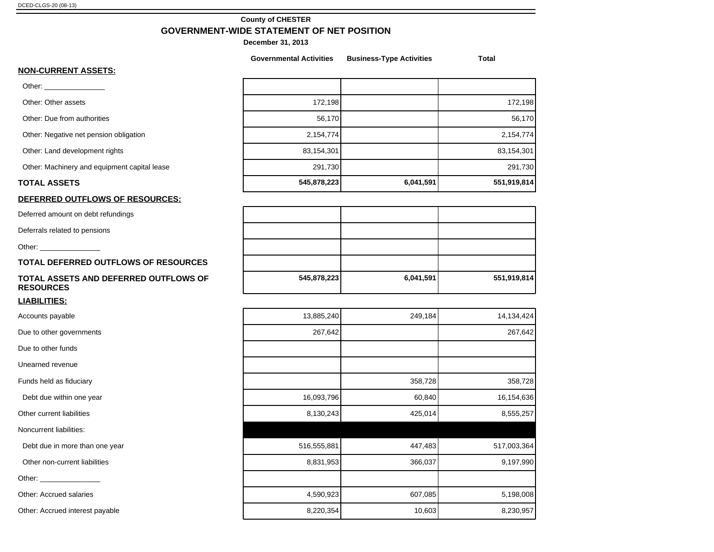#### **County of CHESTER GOVERNMENT-WIDE STATEMENT OF NET POSITION**

|                                                           | <b>Governmental Activities</b> | <b>Business-Type Activities</b> | <b>Total</b> |
|-----------------------------------------------------------|--------------------------------|---------------------------------|--------------|
| <b>NON-CURRENT ASSETS:</b>                                |                                |                                 |              |
|                                                           |                                |                                 |              |
| Other: Other assets                                       | 172,198                        |                                 | 172,198      |
| Other: Due from authorities                               | 56,170                         |                                 | 56,170       |
| Other: Negative net pension obligation                    | 2,154,774                      |                                 | 2,154,774    |
| Other: Land development rights                            | 83,154,301                     |                                 | 83,154,301   |
| Other: Machinery and equipment capital lease              | 291,730                        |                                 | 291,730      |
| <b>TOTAL ASSETS</b>                                       | 545,878,223                    | 6,041,591                       | 551,919,814  |
| DEFERRED OUTFLOWS OF RESOURCES:                           |                                |                                 |              |
| Deferred amount on debt refundings                        |                                |                                 |              |
| Deferrals related to pensions                             |                                |                                 |              |
| Other: _______________                                    |                                |                                 |              |
| TOTAL DEFERRED OUTFLOWS OF RESOURCES                      |                                |                                 |              |
| TOTAL ASSETS AND DEFERRED OUTFLOWS OF<br><b>RESOURCES</b> | 545,878,223                    | 6,041,591                       | 551,919,814  |
| <u>LIABILITIES:</u>                                       |                                |                                 |              |
| Accounts payable                                          | 13,885,240                     | 249,184                         | 14,134,424   |
| Due to other governments                                  | 267,642                        |                                 | 267,642      |
| Due to other funds                                        |                                |                                 |              |
| Unearned revenue                                          |                                |                                 |              |
| Funds held as fiduciary                                   |                                | 358,728                         | 358,728      |
| Debt due within one year                                  | 16,093,796                     | 60,840                          | 16,154,636   |
| Other current liabilities                                 | 8,130,243                      | 425,014                         | 8,555,257    |
| Noncurrent liabilities:                                   |                                |                                 |              |
| Debt due in more than one year                            | 516,555,881                    | 447,483                         | 517,003,364  |
| Other non-current liabilities                             | 8,831,953                      | 366,037                         | 9,197,990    |
|                                                           |                                |                                 |              |
| <b>Other: Accrued salaries</b>                            | 4,590,923                      | 607,085                         | 5,198,008    |
| Other: Accrued interest payable                           | 8,220,354                      | 10,603                          | 8,230,957    |
|                                                           |                                |                                 |              |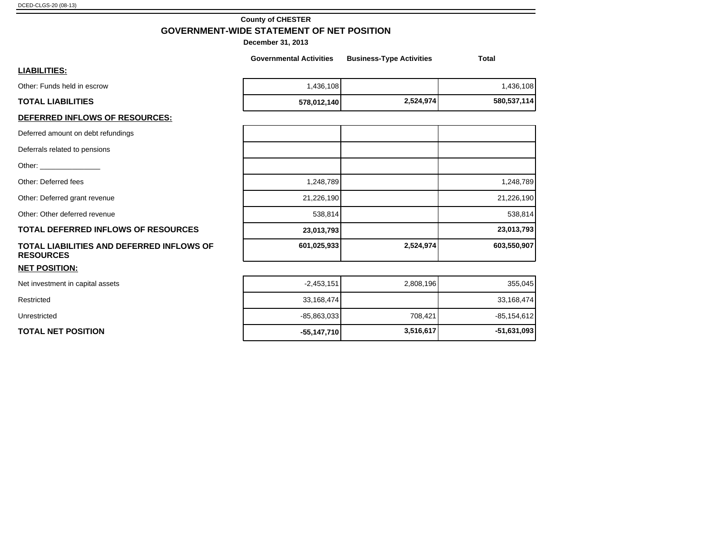#### **County of CHESTER GOVERNMENT-WIDE STATEMENT OF NET POSITION**

**December 31, 2013**

|                                                                                                                                                                                                                                | <b>Governmental Activities</b> | <b>Business-Type Activities</b> | <b>Total</b> |
|--------------------------------------------------------------------------------------------------------------------------------------------------------------------------------------------------------------------------------|--------------------------------|---------------------------------|--------------|
| <u>LIABILITIES:</u>                                                                                                                                                                                                            |                                |                                 |              |
| Other: Funds held in escrow                                                                                                                                                                                                    | 1,436,108                      |                                 | 1,436,108    |
| <b>TOTAL LIABILITIES</b>                                                                                                                                                                                                       | 578,012,140                    | 2,524,974                       | 580,537,114  |
| <u>DEFERRED INFLOWS OF RESOURCES:</u>                                                                                                                                                                                          |                                |                                 |              |
| Deferred amount on debt refundings                                                                                                                                                                                             |                                |                                 |              |
| Deferrals related to pensions                                                                                                                                                                                                  |                                |                                 |              |
| Other: and the control of the control of the control of the control of the control of the control of the control of the control of the control of the control of the control of the control of the control of the control of t |                                |                                 |              |
| Other: Deferred fees                                                                                                                                                                                                           | 1,248,789                      |                                 | 1,248,789    |
| Other: Deferred grant revenue                                                                                                                                                                                                  | 21,226,190                     |                                 | 21,226,190   |
| Other: Other deferred revenue                                                                                                                                                                                                  | 538,814                        |                                 | 538,814      |
| <b>TOTAL DEFERRED INFLOWS OF RESOURCES</b>                                                                                                                                                                                     | 23,013,793                     |                                 | 23,013,793   |
| TOTAL LIABILITIES AND DEFERRED INFLOWS OF<br><b>RESOURCES</b>                                                                                                                                                                  | 601,025,933                    | 2,524,974                       | 603,550,907  |
| <b>NET POSITION:</b>                                                                                                                                                                                                           |                                |                                 |              |
| Net investment in capital assets                                                                                                                                                                                               | $-2,453,151$                   | 2,808,196                       | 355,045      |
| Restricted                                                                                                                                                                                                                     | 33,168,474                     |                                 | 33,168,474   |

Unrestricted -85,863,033 708,421 -85,154,612

**TOTAL NET POSITION -55,147,710 55,147,710 55,147,710 55,147,710 51,631,093**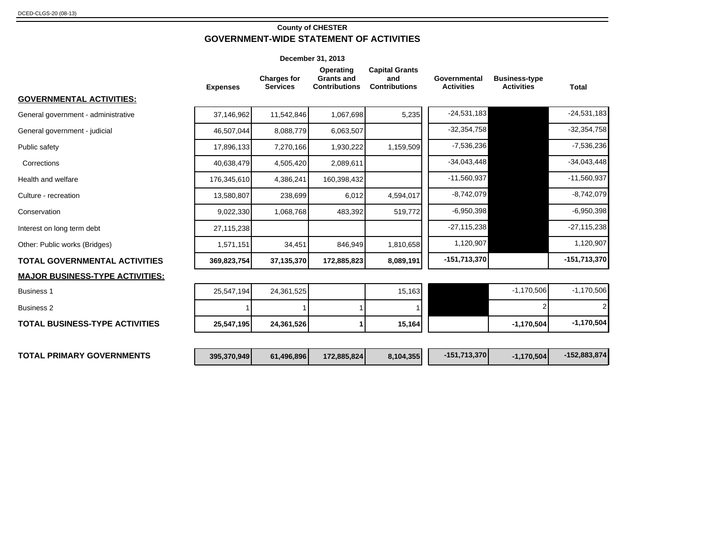#### **County of CHESTER GOVERNMENT-WIDE STATEMENT OF ACTIVITIES**

|                                        |                 | December 31, 2013                     |                                                        |                                                      |                                   |                                           |                |
|----------------------------------------|-----------------|---------------------------------------|--------------------------------------------------------|------------------------------------------------------|-----------------------------------|-------------------------------------------|----------------|
|                                        | <b>Expenses</b> | <b>Charges for</b><br><b>Services</b> | Operating<br><b>Grants and</b><br><b>Contributions</b> | <b>Capital Grants</b><br>and<br><b>Contributions</b> | Governmental<br><b>Activities</b> | <b>Business-type</b><br><b>Activities</b> | <b>Total</b>   |
| <b>GOVERNMENTAL ACTIVITIES:</b>        |                 |                                       |                                                        |                                                      |                                   |                                           |                |
| General government - administrative    | 37,146,962      | 11,542,846                            | 1,067,698                                              | 5,235                                                | $-24,531,183$                     |                                           | $-24,531,183$  |
| General government - judicial          | 46,507,044      | 8,088,779                             | 6,063,507                                              |                                                      | $-32,354,758$                     |                                           | $-32,354,758$  |
| Public safety                          | 17,896,133      | 7,270,166                             | 1,930,222                                              | 1,159,509                                            | $-7,536,236$                      |                                           | $-7,536,236$   |
| Corrections                            | 40,638,479      | 4,505,420                             | 2,089,611                                              |                                                      | $-34,043,448$                     |                                           | $-34,043,448$  |
| Health and welfare                     | 176,345,610     | 4,386,241                             | 160,398,432                                            |                                                      | $-11,560,937$                     |                                           | $-11,560,937$  |
| Culture - recreation                   | 13,580,807      | 238,699                               | 6,012                                                  | 4,594,017                                            | $-8,742,079$                      |                                           | $-8,742,079$   |
| Conservation                           | 9,022,330       | 1,068,768                             | 483,392                                                | 519,772                                              | $-6,950,398$                      |                                           | $-6,950,398$   |
| Interest on long term debt             | 27,115,238      |                                       |                                                        |                                                      | $-27,115,238$                     |                                           | $-27,115,238$  |
| Other: Public works (Bridges)          | 1,571,151       | 34,451                                | 846,949                                                | 1,810,658                                            | 1,120,907                         |                                           | 1,120,907      |
| <b>TOTAL GOVERNMENTAL ACTIVITIES</b>   | 369,823,754     | 37,135,370                            | 172,885,823                                            | 8,089,191                                            | $-151,713,370$                    |                                           | $-151,713,370$ |
| <b>MAJOR BUSINESS-TYPE ACTIVITIES:</b> |                 |                                       |                                                        |                                                      |                                   |                                           |                |
| <b>Business 1</b>                      | 25,547,194      | 24,361,525                            |                                                        | 15,163                                               |                                   | $-1,170,506$                              | $-1,170,506$   |
| <b>Business 2</b>                      |                 |                                       |                                                        |                                                      |                                   |                                           | 2              |
| <b>TOTAL BUSINESS-TYPE ACTIVITIES</b>  | 25,547,195      | 24,361,526                            |                                                        | 15,164                                               |                                   | $-1,170,504$                              | $-1,170,504$   |
| <b>TOTAL PRIMARY GOVERNMENTS</b>       | 395,370,949     | 61,496,896                            | 172,885,824                                            | 8,104,355                                            | $-151,713,370$                    | $-1,170,504$                              | $-152,883,874$ |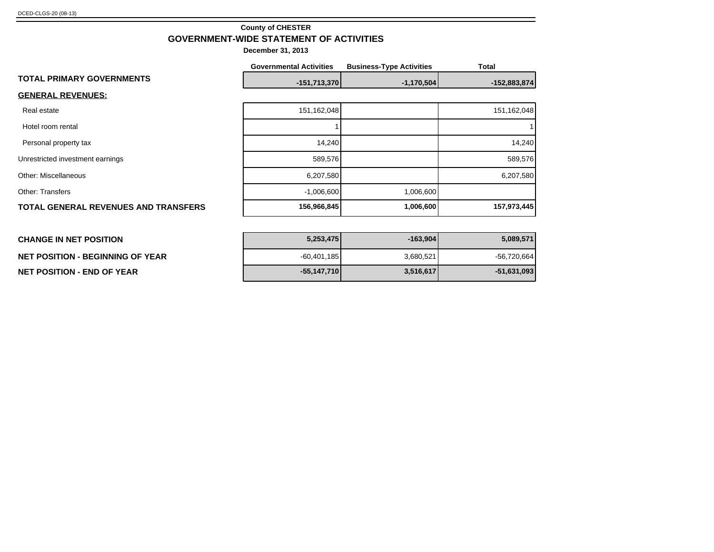#### **County of CHESTER GOVERNMENT-WIDE STATEMENT OF ACTIVITIES**

|                                             | <b>Governmental Activities</b> | <b>Business-Type Activities</b> | <b>Total</b> |  |
|---------------------------------------------|--------------------------------|---------------------------------|--------------|--|
| <b>TOTAL PRIMARY GOVERNMENTS</b>            | $-151,713,370$                 | $-1,170,504$                    | -152,883,874 |  |
| <b>GENERAL REVENUES:</b>                    |                                |                                 |              |  |
| Real estate                                 | 151,162,048                    |                                 | 151,162,048  |  |
| Hotel room rental                           |                                |                                 |              |  |
| Personal property tax                       | 14,240                         |                                 | 14,240       |  |
| Unrestricted investment earnings            | 589,576                        |                                 | 589,576      |  |
| <b>Other: Miscellaneous</b>                 | 6,207,580                      |                                 | 6,207,580    |  |
| <b>Other: Transfers</b>                     | $-1,006,600$                   | 1,006,600                       |              |  |
| <b>TOTAL GENERAL REVENUES AND TRANSFERS</b> | 156,966,845                    | 1,006,600                       | 157,973,445  |  |
|                                             |                                |                                 |              |  |

| <b>CHANGE IN NET POSITION</b>    | 5,253,475     | -163.9041 | 5,089,571     |
|----------------------------------|---------------|-----------|---------------|
| NET POSITION - BEGINNING OF YEAR | $-60,401,185$ | 3,680,521 | $-56,720,664$ |
| NET POSITION - END OF YEAR       | $-55,147,710$ | 3,516,617 | $-51,631,093$ |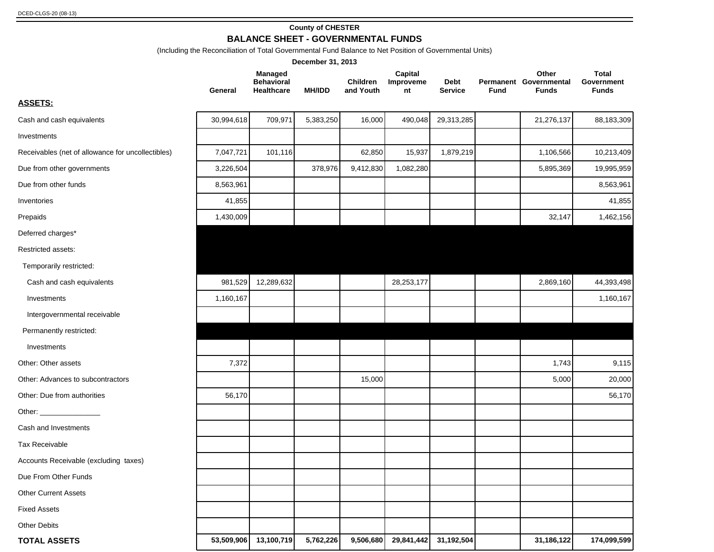#### **County of CHESTER BALANCE SHEET - GOVERNMENTAL FUNDS**

(Including the Reconciliation of Total Governmental Fund Balance to Net Position of Governmental Units)

|                                                                                                                                                                                                                                |            |                                                   | December 31, 2013 |                              |                            |                               |             |                                                 |                                            |
|--------------------------------------------------------------------------------------------------------------------------------------------------------------------------------------------------------------------------------|------------|---------------------------------------------------|-------------------|------------------------------|----------------------------|-------------------------------|-------------|-------------------------------------------------|--------------------------------------------|
|                                                                                                                                                                                                                                | General    | Managed<br><b>Behavioral</b><br><b>Healthcare</b> | <b>MH/IDD</b>     | <b>Children</b><br>and Youth | Capital<br>Improveme<br>nt | <b>Debt</b><br><b>Service</b> | <b>Fund</b> | Other<br>Permanent Governmental<br><b>Funds</b> | <b>Total</b><br>Government<br><b>Funds</b> |
| <b>ASSETS:</b>                                                                                                                                                                                                                 |            |                                                   |                   |                              |                            |                               |             |                                                 |                                            |
| Cash and cash equivalents                                                                                                                                                                                                      | 30,994,618 | 709,971                                           | 5,383,250         | 16,000                       | 490,048                    | 29,313,285                    |             | 21,276,137                                      | 88,183,309                                 |
| Investments                                                                                                                                                                                                                    |            |                                                   |                   |                              |                            |                               |             |                                                 |                                            |
| Receivables (net of allowance for uncollectibles)                                                                                                                                                                              | 7,047,721  | 101,116                                           |                   | 62,850                       | 15,937                     | 1,879,219                     |             | 1,106,566                                       | 10,213,409                                 |
| Due from other governments                                                                                                                                                                                                     | 3,226,504  |                                                   | 378,976           | 9,412,830                    | 1,082,280                  |                               |             | 5,895,369                                       | 19,995,959                                 |
| Due from other funds                                                                                                                                                                                                           | 8,563,961  |                                                   |                   |                              |                            |                               |             |                                                 | 8,563,961                                  |
| Inventories                                                                                                                                                                                                                    | 41,855     |                                                   |                   |                              |                            |                               |             |                                                 | 41,855                                     |
| Prepaids                                                                                                                                                                                                                       | 1,430,009  |                                                   |                   |                              |                            |                               |             | 32,147                                          | 1,462,156                                  |
| Deferred charges*                                                                                                                                                                                                              |            |                                                   |                   |                              |                            |                               |             |                                                 |                                            |
| Restricted assets:                                                                                                                                                                                                             |            |                                                   |                   |                              |                            |                               |             |                                                 |                                            |
| Temporarily restricted:                                                                                                                                                                                                        |            |                                                   |                   |                              |                            |                               |             |                                                 |                                            |
| Cash and cash equivalents                                                                                                                                                                                                      | 981,529    | 12,289,632                                        |                   |                              | 28, 253, 177               |                               |             | 2,869,160                                       | 44,393,498                                 |
| Investments                                                                                                                                                                                                                    | 1,160,167  |                                                   |                   |                              |                            |                               |             |                                                 | 1,160,167                                  |
| Intergovernmental receivable                                                                                                                                                                                                   |            |                                                   |                   |                              |                            |                               |             |                                                 |                                            |
| Permanently restricted:                                                                                                                                                                                                        |            |                                                   |                   |                              |                            |                               |             |                                                 |                                            |
| Investments                                                                                                                                                                                                                    |            |                                                   |                   |                              |                            |                               |             |                                                 |                                            |
| Other: Other assets                                                                                                                                                                                                            | 7,372      |                                                   |                   |                              |                            |                               |             | 1,743                                           | 9,115                                      |
| Other: Advances to subcontractors                                                                                                                                                                                              |            |                                                   |                   | 15,000                       |                            |                               |             | 5,000                                           | 20,000                                     |
| Other: Due from authorities                                                                                                                                                                                                    | 56,170     |                                                   |                   |                              |                            |                               |             |                                                 | 56,170                                     |
| Other: and the contract of the contract of the contract of the contract of the contract of the contract of the contract of the contract of the contract of the contract of the contract of the contract of the contract of the |            |                                                   |                   |                              |                            |                               |             |                                                 |                                            |
| Cash and Investments                                                                                                                                                                                                           |            |                                                   |                   |                              |                            |                               |             |                                                 |                                            |
| Tax Receivable                                                                                                                                                                                                                 |            |                                                   |                   |                              |                            |                               |             |                                                 |                                            |
| Accounts Receivable (excluding taxes)                                                                                                                                                                                          |            |                                                   |                   |                              |                            |                               |             |                                                 |                                            |
| Due From Other Funds                                                                                                                                                                                                           |            |                                                   |                   |                              |                            |                               |             |                                                 |                                            |
| <b>Other Current Assets</b>                                                                                                                                                                                                    |            |                                                   |                   |                              |                            |                               |             |                                                 |                                            |
| <b>Fixed Assets</b>                                                                                                                                                                                                            |            |                                                   |                   |                              |                            |                               |             |                                                 |                                            |
| <b>Other Debits</b>                                                                                                                                                                                                            |            |                                                   |                   |                              |                            |                               |             |                                                 |                                            |
| <b>TOTAL ASSETS</b>                                                                                                                                                                                                            | 53,509,906 | 13,100,719                                        | 5,762,226         | 9,506,680                    |                            | 29,841,442 31,192,504         |             | 31,186,122                                      | 174,099,599                                |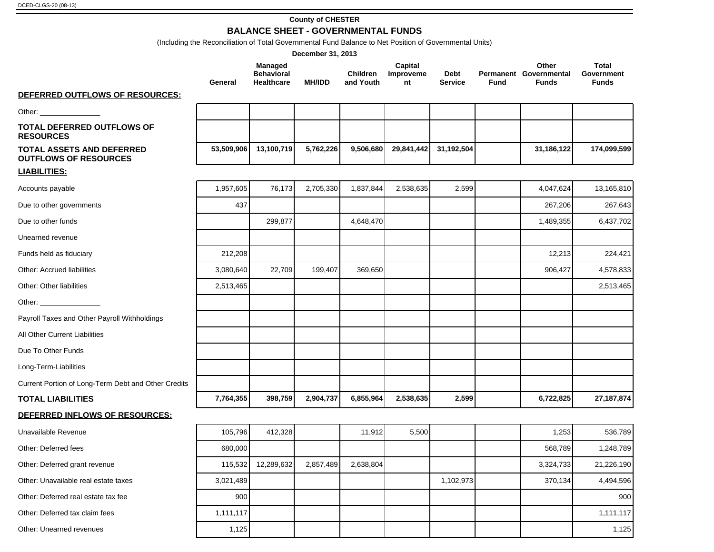#### **County of CHESTER BALANCE SHEET - GOVERNMENTAL FUNDS**

(Including the Reconciliation of Total Governmental Fund Balance to Net Position of Governmental Units)

|                                                                  |            |                                                   | December 31, 2013 |                              |                            |                        |      |                                                 |                                            |
|------------------------------------------------------------------|------------|---------------------------------------------------|-------------------|------------------------------|----------------------------|------------------------|------|-------------------------------------------------|--------------------------------------------|
|                                                                  | General    | Managed<br><b>Behavioral</b><br><b>Healthcare</b> | <b>MH/IDD</b>     | <b>Children</b><br>and Youth | Capital<br>Improveme<br>nt | Debt<br><b>Service</b> | Fund | Other<br>Permanent Governmental<br><b>Funds</b> | <b>Total</b><br>Government<br><b>Funds</b> |
| DEFERRED OUTFLOWS OF RESOURCES:                                  |            |                                                   |                   |                              |                            |                        |      |                                                 |                                            |
| Other: _________________                                         |            |                                                   |                   |                              |                            |                        |      |                                                 |                                            |
| <b>TOTAL DEFERRED OUTFLOWS OF</b><br><b>RESOURCES</b>            |            |                                                   |                   |                              |                            |                        |      |                                                 |                                            |
| <b>TOTAL ASSETS AND DEFERRED</b><br><b>OUTFLOWS OF RESOURCES</b> | 53,509,906 | 13,100,719                                        | 5,762,226         | 9,506,680                    | 29,841,442                 | 31,192,504             |      | 31,186,122                                      | 174,099,599                                |
| <b>LIABILITIES:</b>                                              |            |                                                   |                   |                              |                            |                        |      |                                                 |                                            |
| Accounts payable                                                 | 1,957,605  | 76,173                                            | 2,705,330         | 1,837,844                    | 2,538,635                  | 2,599                  |      | 4,047,624                                       | 13,165,810                                 |
| Due to other governments                                         | 437        |                                                   |                   |                              |                            |                        |      | 267,206                                         | 267,643                                    |
| Due to other funds                                               |            | 299,877                                           |                   | 4,648,470                    |                            |                        |      | 1,489,355                                       | 6,437,702                                  |
| Unearned revenue                                                 |            |                                                   |                   |                              |                            |                        |      |                                                 |                                            |
| Funds held as fiduciary                                          | 212,208    |                                                   |                   |                              |                            |                        |      | 12,213                                          | 224,421                                    |
| <b>Other: Accrued liabilities</b>                                | 3,080,640  | 22,709                                            | 199,407           | 369,650                      |                            |                        |      | 906,427                                         | 4,578,833                                  |
| Other: Other liabilities                                         | 2,513,465  |                                                   |                   |                              |                            |                        |      |                                                 | 2,513,465                                  |
| Other: __________________                                        |            |                                                   |                   |                              |                            |                        |      |                                                 |                                            |
| Payroll Taxes and Other Payroll Withholdings                     |            |                                                   |                   |                              |                            |                        |      |                                                 |                                            |
| All Other Current Liabilities                                    |            |                                                   |                   |                              |                            |                        |      |                                                 |                                            |
| Due To Other Funds                                               |            |                                                   |                   |                              |                            |                        |      |                                                 |                                            |
| Long-Term-Liabilities                                            |            |                                                   |                   |                              |                            |                        |      |                                                 |                                            |
| Current Portion of Long-Term Debt and Other Credits              |            |                                                   |                   |                              |                            |                        |      |                                                 |                                            |
| <b>TOTAL LIABILITIES</b>                                         | 7,764,355  | 398,759                                           | 2,904,737         | 6,855,964                    | 2,538,635                  | 2,599                  |      | 6,722,825                                       | 27, 187, 874                               |
| DEFERRED INFLOWS OF RESOURCES:                                   |            |                                                   |                   |                              |                            |                        |      |                                                 |                                            |
| Unavailable Revenue                                              | 105,796    | 412,328                                           |                   | 11,912                       | 5,500                      |                        |      | 1,253                                           | 536,789                                    |
| Other: Deferred fees                                             | 680,000    |                                                   |                   |                              |                            |                        |      | 568,789                                         | 1,248,789                                  |
| Other: Deferred grant revenue                                    | 115,532    | 12,289,632                                        | 2,857,489         | 2,638,804                    |                            |                        |      | 3,324,733                                       | 21,226,190                                 |
| Other: Unavailable real estate taxes                             | 3,021,489  |                                                   |                   |                              |                            | 1,102,973              |      | 370,134                                         | 4,494,596                                  |
| Other: Deferred real estate tax fee                              | 900        |                                                   |                   |                              |                            |                        |      |                                                 | 900                                        |
| Other: Deferred tax claim fees                                   | 1,111,117  |                                                   |                   |                              |                            |                        |      |                                                 | 1,111,117                                  |
| Other: Unearned revenues                                         | 1,125      |                                                   |                   |                              |                            |                        |      |                                                 | 1,125                                      |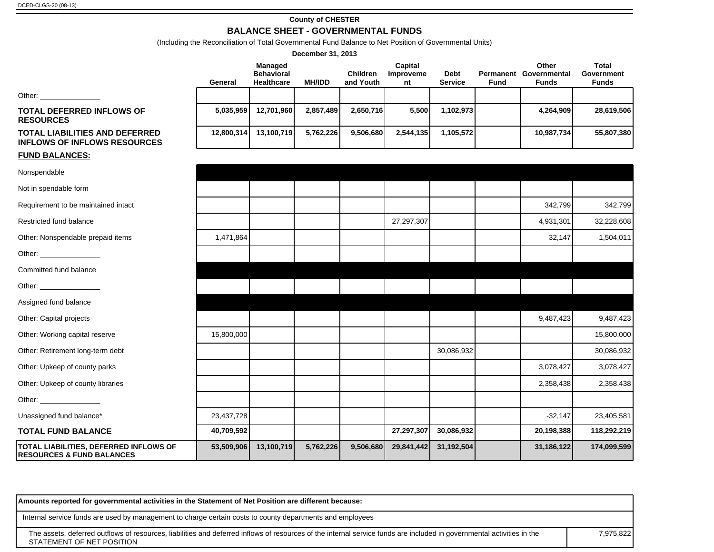#### **County of CHESTER BALANCE SHEET - GOVERNMENTAL FUNDS**

(Including the Reconciliation of Total Governmental Fund Balance to Net Position of Governmental Units)

|                                                                                |            |                                                          | December 31, 2013 |                              |                            |                               |             |                                                 |                                                   |
|--------------------------------------------------------------------------------|------------|----------------------------------------------------------|-------------------|------------------------------|----------------------------|-------------------------------|-------------|-------------------------------------------------|---------------------------------------------------|
|                                                                                | General    | <b>Managed</b><br><b>Behavioral</b><br><b>Healthcare</b> | <b>MH/IDD</b>     | <b>Children</b><br>and Youth | Capital<br>Improveme<br>nt | <b>Debt</b><br><b>Service</b> | <b>Fund</b> | Other<br>Permanent Governmental<br><b>Funds</b> | <b>Total</b><br><b>Government</b><br><b>Funds</b> |
|                                                                                |            |                                                          |                   |                              |                            |                               |             |                                                 |                                                   |
| <b>TOTAL DEFERRED INFLOWS OF</b><br><b>RESOURCES</b>                           | 5,035,959  | 12,701,960                                               | 2,857,489         | 2,650,716                    | 5,500                      | 1,102,973                     |             | 4,264,909                                       | 28,619,506                                        |
| <b>TOTAL LIABILITIES AND DEFERRED</b><br><b>INFLOWS OF INFLOWS RESOURCES</b>   | 12,800,314 | 13,100,719                                               | 5,762,226         | 9,506,680                    | 2,544,135                  | 1,105,572                     |             | 10,987,734                                      | 55,807,380                                        |
| <b>FUND BALANCES:</b>                                                          |            |                                                          |                   |                              |                            |                               |             |                                                 |                                                   |
| Nonspendable                                                                   |            |                                                          |                   |                              |                            |                               |             |                                                 |                                                   |
| Not in spendable form                                                          |            |                                                          |                   |                              |                            |                               |             |                                                 |                                                   |
| Requirement to be maintained intact                                            |            |                                                          |                   |                              |                            |                               |             | 342,799                                         | 342,799                                           |
| Restricted fund balance                                                        |            |                                                          |                   |                              | 27,297,307                 |                               |             | 4,931,301                                       | 32,228,608                                        |
| Other: Nonspendable prepaid items                                              | 1,471,864  |                                                          |                   |                              |                            |                               |             | 32,147                                          | 1,504,011                                         |
|                                                                                |            |                                                          |                   |                              |                            |                               |             |                                                 |                                                   |
| Committed fund balance                                                         |            |                                                          |                   |                              |                            |                               |             |                                                 |                                                   |
| Other: _________________                                                       |            |                                                          |                   |                              |                            |                               |             |                                                 |                                                   |
| Assigned fund balance                                                          |            |                                                          |                   |                              |                            |                               |             |                                                 |                                                   |
| Other: Capital projects                                                        |            |                                                          |                   |                              |                            |                               |             | 9,487,423                                       | 9,487,423                                         |
| Other: Working capital reserve                                                 | 15,800,000 |                                                          |                   |                              |                            |                               |             |                                                 | 15,800,000                                        |
| Other: Retirement long-term debt                                               |            |                                                          |                   |                              |                            | 30,086,932                    |             |                                                 | 30,086,932                                        |
| Other: Upkeep of county parks                                                  |            |                                                          |                   |                              |                            |                               |             | 3,078,427                                       | 3,078,427                                         |
| Other: Upkeep of county libraries                                              |            |                                                          |                   |                              |                            |                               |             | 2,358,438                                       | 2,358,438                                         |
|                                                                                |            |                                                          |                   |                              |                            |                               |             |                                                 |                                                   |
| Unassigned fund balance*                                                       | 23,437,728 |                                                          |                   |                              |                            |                               |             | $-32,147$                                       | 23,405,581                                        |
| <b>TOTAL FUND BALANCE</b>                                                      | 40,709,592 |                                                          |                   |                              | 27,297,307                 | 30,086,932                    |             | 20,198,388                                      | 118,292,219                                       |
| TOTAL LIABILITIES, DEFERRED INFLOWS OF<br><b>RESOURCES &amp; FUND BALANCES</b> | 53,509,906 | 13,100,719                                               | 5,762,226         | 9,506,680                    | 29,841,442                 | 31,192,504                    |             | 31,186,122                                      | 174,099,599                                       |

The assets, deferred outflows of resources, liabilities and deferred inflows of resources of the internal service funds are included in governmental activities in the STATEMENT OF NET POSITION 7,975,822 **Amounts reported for governmental activities in the Statement of Net Position are different because:** Internal service funds are used by management to charge certain costs to county departments and employees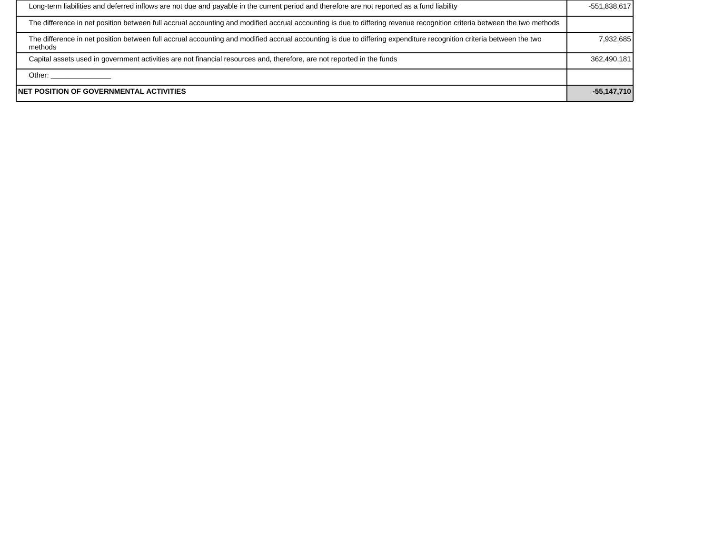| Long-term liabilities and deferred inflows are not due and payable in the current period and therefore are not reported as a fund liability                                    | -551,838,617  |
|--------------------------------------------------------------------------------------------------------------------------------------------------------------------------------|---------------|
| The difference in net position between full accrual accounting and modified accrual accounting is due to differing revenue recognition criteria between the two methods        |               |
| The difference in net position between full accrual accounting and modified accrual accounting is due to differing expenditure recognition criteria between the two<br>methods | 7,932,685     |
| Capital assets used in government activities are not financial resources and, therefore, are not reported in the funds                                                         | 362,490,181   |
| Other:                                                                                                                                                                         |               |
| NET POSITION OF GOVERNMENTAL ACTIVITIES                                                                                                                                        | $-55,147,710$ |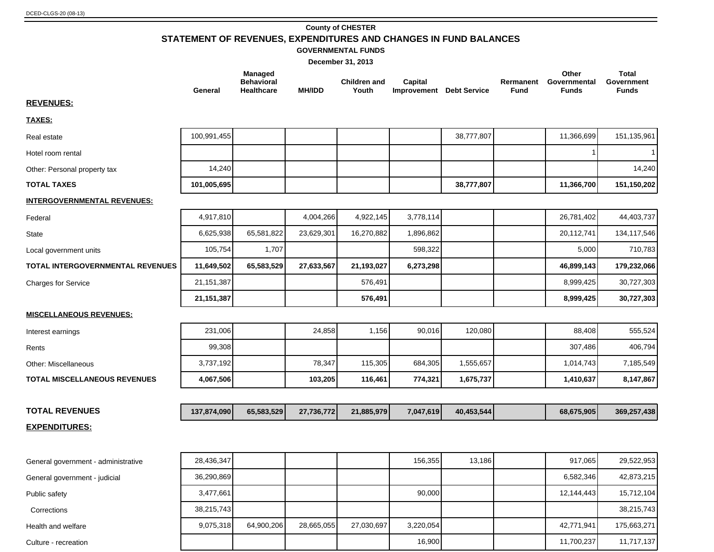#### **County of CHESTER**

**STATEMENT OF REVENUES, EXPENDITURES AND CHANGES IN FUND BALANCES**

#### **GOVERNMENTAL FUNDS**

**Total** 

**Other** 

**December 31, 2013**

**Managed** 

| General      | <b>Behavioral</b><br><b>Healthcare</b> | <b>MH/IDD</b> | <b>Children and</b><br>Youth | Capital   |                                                                 | Rermanent<br>Fund                            | Governmental<br><b>Funds</b> | Government<br><b>Funds</b> |
|--------------|----------------------------------------|---------------|------------------------------|-----------|-----------------------------------------------------------------|----------------------------------------------|------------------------------|----------------------------|
|              |                                        |               |                              |           |                                                                 |                                              |                              |                            |
|              |                                        |               |                              |           |                                                                 |                                              |                              |                            |
| 100,991,455  |                                        |               |                              |           | 38,777,807                                                      |                                              | 11,366,699                   | 151,135,961                |
|              |                                        |               |                              |           |                                                                 |                                              |                              |                            |
| 14,240       |                                        |               |                              |           |                                                                 |                                              |                              | 14,240                     |
| 101,005,695  |                                        |               |                              |           | 38,777,807                                                      |                                              | 11,366,700                   | 151,150,202                |
|              |                                        |               |                              |           |                                                                 |                                              |                              |                            |
| 4,917,810    |                                        | 4,004,266     |                              | 3,778,114 |                                                                 |                                              | 26,781,402                   | 44,403,737                 |
| 6,625,938    | 65,581,822                             | 23,629,301    | 16,270,882                   | 1,896,862 |                                                                 |                                              | 20,112,741                   | 134,117,546                |
| 105,754      | 1,707                                  |               |                              | 598,322   |                                                                 |                                              | 5,000                        | 710,783                    |
| 11,649,502   | 65,583,529                             | 27,633,567    | 21,193,027                   | 6,273,298 |                                                                 |                                              | 46,899,143                   | 179,232,066                |
| 21, 151, 387 |                                        |               | 576,491                      |           |                                                                 |                                              | 8,999,425                    | 30,727,303                 |
| 21, 151, 387 |                                        |               | 576,491                      |           |                                                                 |                                              | 8,999,425                    | 30,727,303                 |
|              |                                        |               |                              |           |                                                                 |                                              |                              |                            |
| 231,006      |                                        | 24,858        |                              |           | 120,080                                                         |                                              | 88,408                       | 555,524                    |
| 99,308       |                                        |               |                              |           |                                                                 |                                              | 307,486                      | 406,794                    |
| 3,737,192    |                                        | 78,347        |                              |           | 1,555,657                                                       |                                              | 1,014,743                    | 7,185,549                  |
| 4,067,506    |                                        | 103,205       | 116,461                      | 774,321   | 1,675,737                                                       |                                              | 1,410,637                    | 8,147,867                  |
|              |                                        |               |                              |           |                                                                 |                                              |                              |                            |
| 137,874,090  | 65,583,529                             | 27,736,772    |                              |           | 40,453,544                                                      |                                              | 68,675,905                   | 369,257,438                |
|              |                                        |               |                              |           |                                                                 |                                              |                              |                            |
|              |                                        |               |                              |           |                                                                 |                                              |                              |                            |
| 28,436,347   |                                        |               |                              | 156,355   | 13,186                                                          |                                              | 917,065                      | 29,522,953                 |
| 36,290,869   |                                        |               |                              |           |                                                                 |                                              | 6,582,346                    | 42,873,215                 |
| 3,477,661    |                                        |               |                              | 90,000    |                                                                 |                                              | 12,144,443                   | 15,712,104                 |
| 38,215,743   |                                        |               |                              |           |                                                                 |                                              |                              | 38,215,743                 |
| 9,075,318    | 64,900,206                             | 28,665,055    | 27,030,697                   | 3,220,054 |                                                                 |                                              | 42,771,941                   | 175,663,271                |
|              |                                        |               |                              |           |                                                                 |                                              | 11,700,237                   | 11,717,137                 |
|              |                                        |               |                              | 115,305   | 4,922,145<br>1,156<br>90,016<br>684,305<br>21,885,979<br>16,900 | <b>Improvement</b> Debt Service<br>7,047,619 |                              |                            |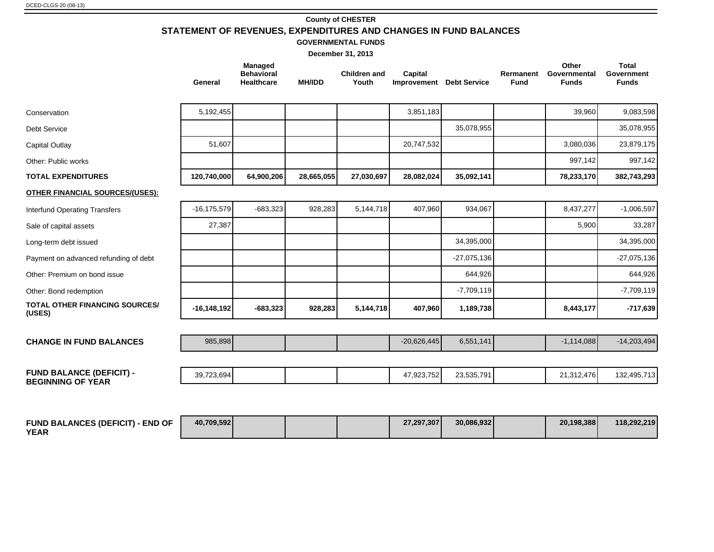#### **County of CHESTER STATEMENT OF REVENUES, EXPENDITURES AND CHANGES IN FUND BALANCES**

**GOVERNMENTAL FUNDS**

| December 31, 2013                                           |                 |                                                   |               |                              |                                     |               |                          |                                       |                                                   |
|-------------------------------------------------------------|-----------------|---------------------------------------------------|---------------|------------------------------|-------------------------------------|---------------|--------------------------|---------------------------------------|---------------------------------------------------|
|                                                             | General         | Managed<br><b>Behavioral</b><br><b>Healthcare</b> | <b>MH/IDD</b> | <b>Children and</b><br>Youth | Capital<br>Improvement Debt Service |               | Rermanent<br><b>Fund</b> | Other<br>Governmental<br><b>Funds</b> | <b>Total</b><br><b>Government</b><br><b>Funds</b> |
| Conservation                                                | 5,192,455       |                                                   |               |                              | 3,851,183                           |               |                          | 39,960                                | 9,083,598                                         |
| <b>Debt Service</b>                                         |                 |                                                   |               |                              |                                     | 35,078,955    |                          |                                       | 35,078,955                                        |
| Capital Outlay                                              | 51,607          |                                                   |               |                              | 20,747,532                          |               |                          | 3,080,036                             | 23,879,175                                        |
| Other: Public works                                         |                 |                                                   |               |                              |                                     |               |                          | 997,142                               | 997,142                                           |
| <b>TOTAL EXPENDITURES</b>                                   | 120,740,000     | 64,900,206                                        | 28,665,055    | 27,030,697                   | 28,082,024                          | 35,092,141    |                          | 78,233,170                            | 382,743,293                                       |
| <b>OTHER FINANCIAL SOURCES/(USES):</b>                      |                 |                                                   |               |                              |                                     |               |                          |                                       |                                                   |
| <b>Interfund Operating Transfers</b>                        | $-16, 175, 579$ | $-683,323$                                        | 928,283       | 5,144,718                    | 407,960                             | 934,067       |                          | 8,437,277                             | $-1,006,597$                                      |
| Sale of capital assets                                      | 27,387          |                                                   |               |                              |                                     |               |                          | 5,900                                 | 33,287                                            |
| Long-term debt issued                                       |                 |                                                   |               |                              |                                     | 34,395,000    |                          |                                       | 34,395,000                                        |
| Payment on advanced refunding of debt                       |                 |                                                   |               |                              |                                     | $-27,075,136$ |                          |                                       | $-27,075,136$                                     |
| Other: Premium on bond issue                                |                 |                                                   |               |                              |                                     | 644,926       |                          |                                       | 644,926                                           |
| Other: Bond redemption                                      |                 |                                                   |               |                              |                                     | $-7,709,119$  |                          |                                       | $-7,709,119$                                      |
| <b>TOTAL OTHER FINANCING SOURCES/</b><br>(USES)             | $-16, 148, 192$ | $-683,323$                                        | 928,283       | 5,144,718                    | 407,960                             | 1,189,738     |                          | 8,443,177                             | $-717,639$                                        |
| <b>CHANGE IN FUND BALANCES</b>                              | 985,898         |                                                   |               |                              | $-20,626,445$                       | 6,551,141     |                          | $-1,114,088$                          | $-14,203,494$                                     |
| <b>FUND BALANCE (DEFICIT) -</b><br><b>BEGINNING OF YEAR</b> | 39,723,694      |                                                   |               |                              | 47,923,752                          | 23,535,791    |                          | 21,312,476                            | 132,495,713                                       |
|                                                             |                 |                                                   |               |                              |                                     |               |                          |                                       |                                                   |

| <b>FUND BALANCES (DEFICIT)</b><br><b>- END OF</b> | 40,709,592 |  | 27.297.307 | 30,086,932 | 20,198,388 | 118,292,219 |
|---------------------------------------------------|------------|--|------------|------------|------------|-------------|
| <b>YEAR</b>                                       |            |  |            |            |            |             |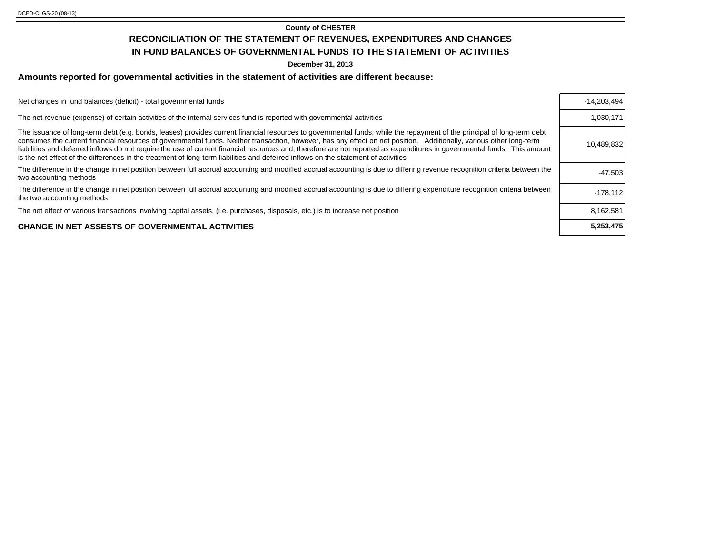#### **County of CHESTER**

### **RECONCILIATION OF THE STATEMENT OF REVENUES, EXPENDITURES AND CHANGES**

#### **IN FUND BALANCES OF GOVERNMENTAL FUNDS TO THE STATEMENT OF ACTIVITIES**

**December 31, 2013**

#### **Amounts reported for governmental activities in the statement of activities are different because:**

| Net changes in fund balances (deficit) - total governmental funds                                                                                                                                                                                                                                                                                                                                                                                                                                                                                                                                                                                                | $-14.203.494$ |
|------------------------------------------------------------------------------------------------------------------------------------------------------------------------------------------------------------------------------------------------------------------------------------------------------------------------------------------------------------------------------------------------------------------------------------------------------------------------------------------------------------------------------------------------------------------------------------------------------------------------------------------------------------------|---------------|
| The net revenue (expense) of certain activities of the internal services fund is reported with governmental activities                                                                                                                                                                                                                                                                                                                                                                                                                                                                                                                                           | 1,030,171     |
| The issuance of long-term debt (e.g. bonds, leases) provides current financial resources to governmental funds, while the repayment of the principal of long-term debt<br>consumes the current financial resources of governmental funds. Neither transaction, however, has any effect on net position. Additionally, various other long-term<br>liabilities and deferred inflows do not require the use of current financial resources and, therefore are not reported as expenditures in governmental funds. This amount<br>is the net effect of the differences in the treatment of long-term liabilities and deferred inflows on the statement of activities | 10.489.832    |
| The difference in the change in net position between full accrual accounting and modified accrual accounting is due to differing revenue recognition criteria between the<br>two accounting methods                                                                                                                                                                                                                                                                                                                                                                                                                                                              | $-47.503$     |
| The difference in the change in net position between full accrual accounting and modified accrual accounting is due to differing expenditure recognition criteria between<br>the two accounting methods                                                                                                                                                                                                                                                                                                                                                                                                                                                          | $-178.112$    |
| The net effect of various transactions involving capital assets, (i.e. purchases, disposals, etc.) is to increase net position                                                                                                                                                                                                                                                                                                                                                                                                                                                                                                                                   | 8.162.581     |
| <b>CHANGE IN NET ASSESTS OF GOVERNMENTAL ACTIVITIES</b>                                                                                                                                                                                                                                                                                                                                                                                                                                                                                                                                                                                                          | 5.253.475     |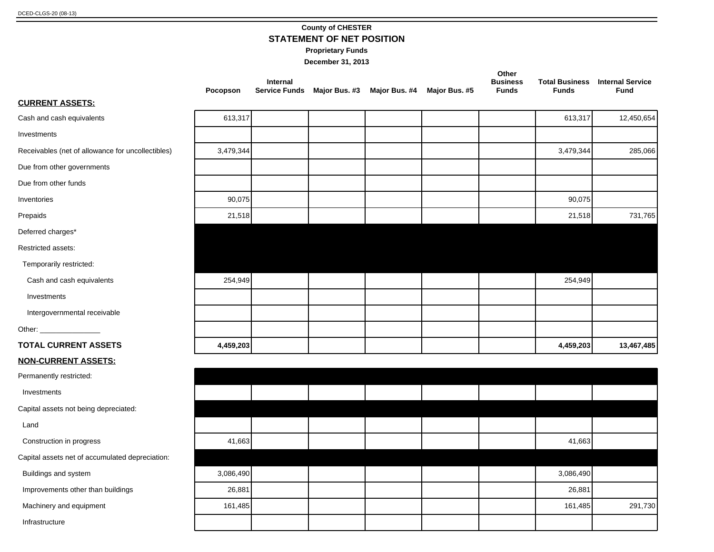## **County of CHESTER**

**STATEMENT OF NET POSITION**

**Proprietary Funds**

|                                                   | Pocopson  | Internal<br><b>Service Funds</b> | Major Bus. #3 | Major Bus. #4 | Major Bus. #5 | Other<br><b>Business</b><br><b>Funds</b> | <b>Funds</b> | <b>Total Business Internal Service</b><br><b>Fund</b> |
|---------------------------------------------------|-----------|----------------------------------|---------------|---------------|---------------|------------------------------------------|--------------|-------------------------------------------------------|
| <b>CURRENT ASSETS:</b>                            |           |                                  |               |               |               |                                          |              |                                                       |
| Cash and cash equivalents                         | 613,317   |                                  |               |               |               |                                          | 613,317      | 12,450,654                                            |
| Investments                                       |           |                                  |               |               |               |                                          |              |                                                       |
| Receivables (net of allowance for uncollectibles) | 3,479,344 |                                  |               |               |               |                                          | 3,479,344    | 285,066                                               |
| Due from other governments                        |           |                                  |               |               |               |                                          |              |                                                       |
| Due from other funds                              |           |                                  |               |               |               |                                          |              |                                                       |
| Inventories                                       | 90,075    |                                  |               |               |               |                                          | 90,075       |                                                       |
| Prepaids                                          | 21,518    |                                  |               |               |               |                                          | 21,518       | 731,765                                               |
| Deferred charges*                                 |           |                                  |               |               |               |                                          |              |                                                       |
| Restricted assets:                                |           |                                  |               |               |               |                                          |              |                                                       |
| Temporarily restricted:                           |           |                                  |               |               |               |                                          |              |                                                       |
| Cash and cash equivalents                         | 254,949   |                                  |               |               |               |                                          | 254,949      |                                                       |
| Investments                                       |           |                                  |               |               |               |                                          |              |                                                       |
| Intergovernmental receivable                      |           |                                  |               |               |               |                                          |              |                                                       |
|                                                   |           |                                  |               |               |               |                                          |              |                                                       |
| <b>TOTAL CURRENT ASSETS</b>                       | 4,459,203 |                                  |               |               |               |                                          | 4,459,203    | 13,467,485                                            |
| <b>NON-CURRENT ASSETS:</b>                        |           |                                  |               |               |               |                                          |              |                                                       |
| Permanently restricted:                           |           |                                  |               |               |               |                                          |              |                                                       |
| Investments                                       |           |                                  |               |               |               |                                          |              |                                                       |
| Capital assets not being depreciated:             |           |                                  |               |               |               |                                          |              |                                                       |
| Land                                              |           |                                  |               |               |               |                                          |              |                                                       |
| Construction in progress                          | 41,663    |                                  |               |               |               |                                          | 41,663       |                                                       |
| Capital assets net of accumulated depreciation:   |           |                                  |               |               |               |                                          |              |                                                       |
| Buildings and system                              | 3,086,490 |                                  |               |               |               |                                          | 3,086,490    |                                                       |
| Improvements other than buildings                 | 26,881    |                                  |               |               |               |                                          | 26,881       |                                                       |
| Machinery and equipment                           | 161,485   |                                  |               |               |               |                                          | 161,485      | 291,730                                               |
| Infrastructure                                    |           |                                  |               |               |               |                                          |              |                                                       |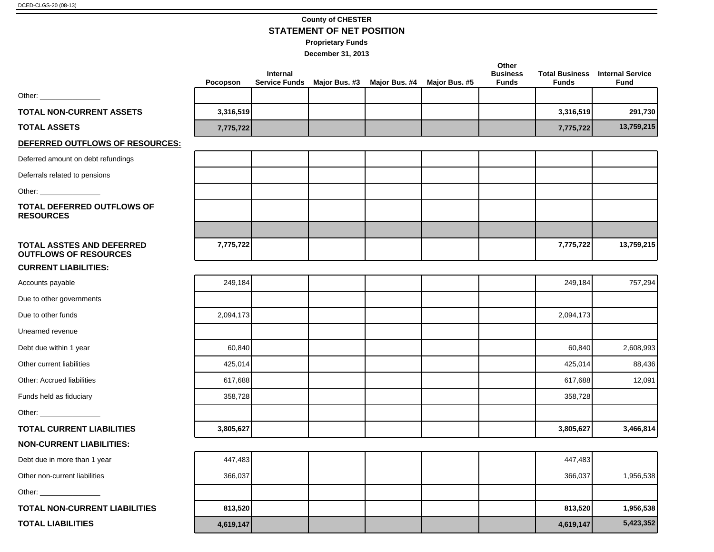#### **County of CHESTER STATEMENT OF NET POSITION**

**Proprietary Funds**

|                                                                  | Pocopson  | Internal<br><b>Service Funds</b> | Major Bus. #3 | Major Bus. #4 | Major Bus. #5 | Other<br><b>Business</b><br><b>Funds</b> | <b>Total Business</b><br><b>Funds</b> | <b>Internal Service</b><br><b>Fund</b> |
|------------------------------------------------------------------|-----------|----------------------------------|---------------|---------------|---------------|------------------------------------------|---------------------------------------|----------------------------------------|
|                                                                  |           |                                  |               |               |               |                                          |                                       |                                        |
| <b>TOTAL NON-CURRENT ASSETS</b>                                  | 3,316,519 |                                  |               |               |               |                                          | 3,316,519                             | 291,730                                |
| <b>TOTAL ASSETS</b>                                              | 7,775,722 |                                  |               |               |               |                                          | 7,775,722                             | 13,759,215                             |
| DEFERRED OUTFLOWS OF RESOURCES:                                  |           |                                  |               |               |               |                                          |                                       |                                        |
| Deferred amount on debt refundings                               |           |                                  |               |               |               |                                          |                                       |                                        |
| Deferrals related to pensions                                    |           |                                  |               |               |               |                                          |                                       |                                        |
| Other: __________________                                        |           |                                  |               |               |               |                                          |                                       |                                        |
| <b>TOTAL DEFERRED OUTFLOWS OF</b><br><b>RESOURCES</b>            |           |                                  |               |               |               |                                          |                                       |                                        |
| <b>TOTAL ASSTES AND DEFERRED</b><br><b>OUTFLOWS OF RESOURCES</b> | 7,775,722 |                                  |               |               |               |                                          | 7,775,722                             | 13,759,215                             |
| <b>CURRENT LIABILITIES:</b>                                      |           |                                  |               |               |               |                                          |                                       |                                        |
| Accounts payable                                                 | 249,184   |                                  |               |               |               |                                          | 249,184                               | 757,294                                |
| Due to other governments                                         |           |                                  |               |               |               |                                          |                                       |                                        |
| Due to other funds                                               | 2,094,173 |                                  |               |               |               |                                          | 2,094,173                             |                                        |
| Unearned revenue                                                 |           |                                  |               |               |               |                                          |                                       |                                        |
| Debt due within 1 year                                           | 60,840    |                                  |               |               |               |                                          | 60,840                                | 2,608,993                              |
| Other current liabilities                                        | 425,014   |                                  |               |               |               |                                          | 425,014                               | 88,436                                 |
| Other: Accrued liabilities                                       | 617,688   |                                  |               |               |               |                                          | 617,688                               | 12,091                                 |
| Funds held as fiduciary                                          | 358,728   |                                  |               |               |               |                                          | 358,728                               |                                        |
| Other: ______________________                                    |           |                                  |               |               |               |                                          |                                       |                                        |
| <b>TOTAL CURRENT LIABILITIES</b>                                 | 3,805,627 |                                  |               |               |               |                                          | 3,805,627                             | 3,466,814                              |
| <b>NON-CURRENT LIABILITIES:</b>                                  |           |                                  |               |               |               |                                          |                                       |                                        |
| Debt due in more than 1 year                                     | 447,483   |                                  |               |               |               |                                          | 447,483                               |                                        |
| Other non-current liabilities                                    | 366,037   |                                  |               |               |               |                                          | 366,037                               | 1,956,538                              |
|                                                                  |           |                                  |               |               |               |                                          |                                       |                                        |
| TOTAL NON-CURRENT LIABILITIES                                    | 813,520   |                                  |               |               |               |                                          | 813,520                               | 1,956,538                              |
| <b>TOTAL LIABILITIES</b>                                         | 4,619,147 |                                  |               |               |               |                                          | 4,619,147                             | 5,423,352                              |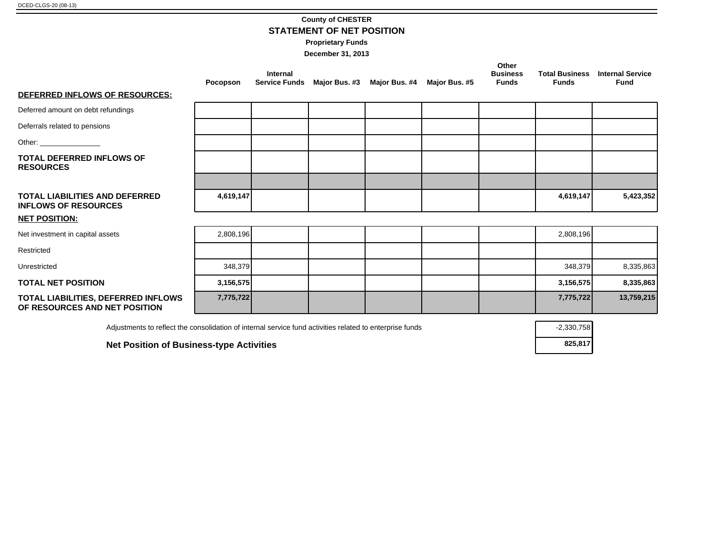#### **County of CHESTER STATEMENT OF NET POSITION**

**Proprietary Funds**

**December 31, 2013**

|                                                                                                          | Pocopson  | <b>Internal</b><br><b>Service Funds</b> | Major Bus. #3 Major Bus. #4 | Major Bus. #5 | Other<br><b>Business</b><br><b>Funds</b> | <b>Total Business</b><br><b>Funds</b> | <b>Internal Service</b><br><b>Fund</b> |
|----------------------------------------------------------------------------------------------------------|-----------|-----------------------------------------|-----------------------------|---------------|------------------------------------------|---------------------------------------|----------------------------------------|
| DEFERRED INFLOWS OF RESOURCES:                                                                           |           |                                         |                             |               |                                          |                                       |                                        |
| Deferred amount on debt refundings                                                                       |           |                                         |                             |               |                                          |                                       |                                        |
| Deferrals related to pensions                                                                            |           |                                         |                             |               |                                          |                                       |                                        |
|                                                                                                          |           |                                         |                             |               |                                          |                                       |                                        |
| <b>TOTAL DEFERRED INFLOWS OF</b><br><b>RESOURCES</b>                                                     |           |                                         |                             |               |                                          |                                       |                                        |
|                                                                                                          |           |                                         |                             |               |                                          |                                       |                                        |
| TOTAL LIABILITIES AND DEFERRED<br><b>INFLOWS OF RESOURCES</b>                                            | 4,619,147 |                                         |                             |               |                                          | 4,619,147                             | 5,423,352                              |
| <b>NET POSITION:</b>                                                                                     |           |                                         |                             |               |                                          |                                       |                                        |
| Net investment in capital assets                                                                         | 2,808,196 |                                         |                             |               |                                          | 2,808,196                             |                                        |
| Restricted                                                                                               |           |                                         |                             |               |                                          |                                       |                                        |
| Unrestricted                                                                                             | 348,379   |                                         |                             |               |                                          | 348,379                               | 8,335,863                              |
| <b>TOTAL NET POSITION</b>                                                                                | 3,156,575 |                                         |                             |               |                                          | 3,156,575                             | 8,335,863                              |
| TOTAL LIABILITIES, DEFERRED INFLOWS<br>OF RESOURCES AND NET POSITION                                     | 7,775,722 |                                         |                             |               |                                          | 7,775,722                             | 13,759,215                             |
| Adjustments to reflect the consolidation of internal service fund activities related to enterprise funds |           |                                         |                             |               |                                          | $-2,330,758$                          |                                        |

**Net Position of Business-type Activities 825,817**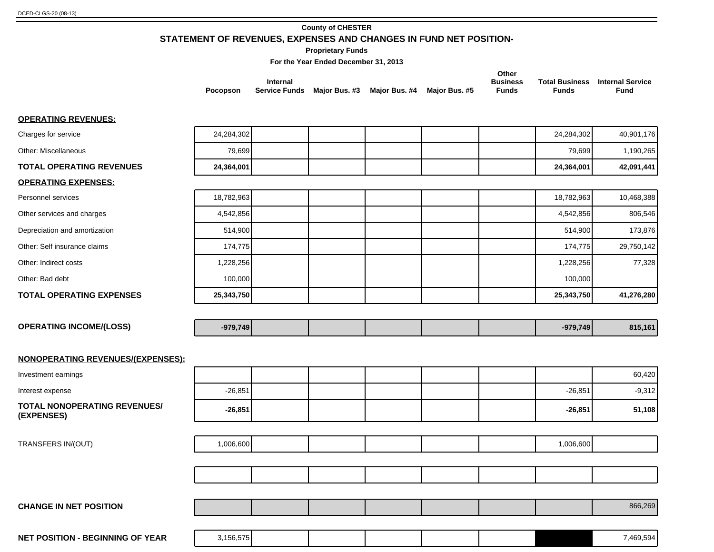#### **County of CHESTER**

**STATEMENT OF REVENUES, EXPENSES AND CHANGES IN FUND NET POSITION-**

**Proprietary Funds**

**For the Year Ended December 31, 2013**

|          |                                                                     |  | Other                           |       |                                                |
|----------|---------------------------------------------------------------------|--|---------------------------------|-------|------------------------------------------------|
| Pocopson | Internal<br>Service Funds Major Bus. #3 Major Bus. #4 Major Bus. #5 |  | <b>Business</b><br><b>Funds</b> | Funds | <b>Total Business</b> Internal Service<br>Fund |

#### **OPERATING REVENUES:**

| Charges for service                               | 24,284,302 |  |  | 24,284,302 | 40,901,176 |
|---------------------------------------------------|------------|--|--|------------|------------|
| Other: Miscellaneous                              | 79,699     |  |  | 79,699     | 1,190,265  |
| <b>TOTAL OPERATING REVENUES</b>                   | 24,364,001 |  |  | 24,364,001 | 42,091,441 |
| <b>OPERATING EXPENSES:</b>                        |            |  |  |            |            |
| Personnel services                                | 18,782,963 |  |  | 18,782,963 | 10,468,388 |
| Other services and charges                        | 4,542,856  |  |  | 4,542,856  | 806,546    |
| Depreciation and amortization                     | 514,900    |  |  | 514,900    | 173,876    |
| Other: Self insurance claims                      | 174,775    |  |  | 174,775    | 29,750,142 |
| Other: Indirect costs                             | 1,228,256  |  |  | 1,228,256  | 77,328     |
| Other: Bad debt                                   | 100,000    |  |  | 100,000    |            |
| <b>TOTAL OPERATING EXPENSES</b>                   | 25,343,750 |  |  | 25,343,750 | 41,276,280 |
|                                                   |            |  |  |            |            |
| <b>OPERATING INCOME/(LOSS)</b>                    | $-979,749$ |  |  | $-979,749$ | 815,161    |
|                                                   |            |  |  |            |            |
| NONOPERATING REVENUES/(EXPENSES):                 |            |  |  |            |            |
| Investment earnings                               |            |  |  |            | 60,420     |
| Interest expense                                  | $-26,851$  |  |  | $-26,851$  | $-9,312$   |
| <b>TOTAL NONOPERATING REVENUES/</b><br>(EXPENSES) | $-26,851$  |  |  | $-26,851$  | 51,108     |
|                                                   |            |  |  |            |            |
| TRANSFERS IN/(OUT)                                | 1,006,600  |  |  | 1,006,600  |            |
|                                                   |            |  |  |            |            |
|                                                   |            |  |  |            |            |
|                                                   |            |  |  |            |            |
| <b>CHANGE IN NET POSITION</b>                     |            |  |  |            | 866,269    |
|                                                   |            |  |  |            |            |
| <b>NET POSITION - BEGINNING OF YEAR</b>           | 3,156,575  |  |  |            | 7,469,594  |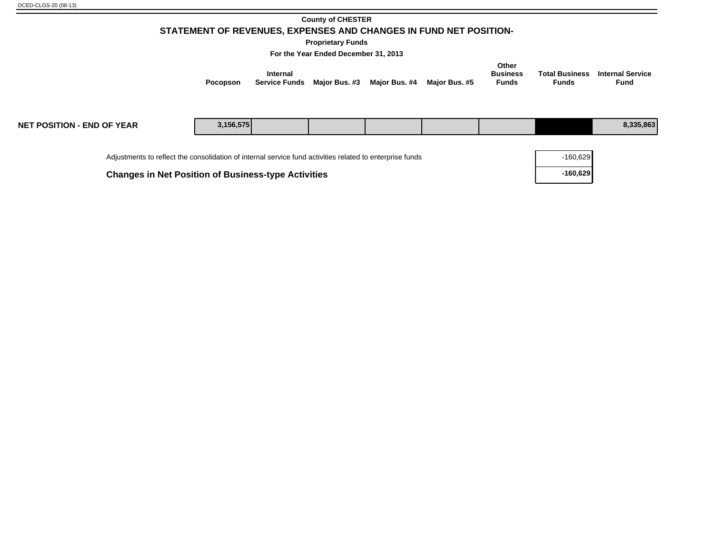#### **County of CHESTER STATEMENT OF REVENUES, EXPENSES AND CHANGES IN FUND NET POSITION-**

**Proprietary Funds**

**For the Year Ended December 31, 2013**

|                             |                                           |               | Other                    |       |                                                |
|-----------------------------|-------------------------------------------|---------------|--------------------------|-------|------------------------------------------------|
| Internal<br><b>Pocopson</b> | Service Funds Maior Bus. #3 Maior Bus. #4 | Maior Bus. #5 | <b>Business</b><br>Funds | Funds | <b>Total Business</b> Internal Service<br>Fund |

| <b>NET POSITION - END OF YEAR</b>                                                                        | 3,156,575 |  |  |            | 8,335,863 |
|----------------------------------------------------------------------------------------------------------|-----------|--|--|------------|-----------|
| Adjustments to reflect the consolidation of internal service fund activities related to enterprise funds |           |  |  | $-160,629$ |           |
| <b>Changes in Net Position of Business-type Activities</b>                                               |           |  |  | $-160,629$ |           |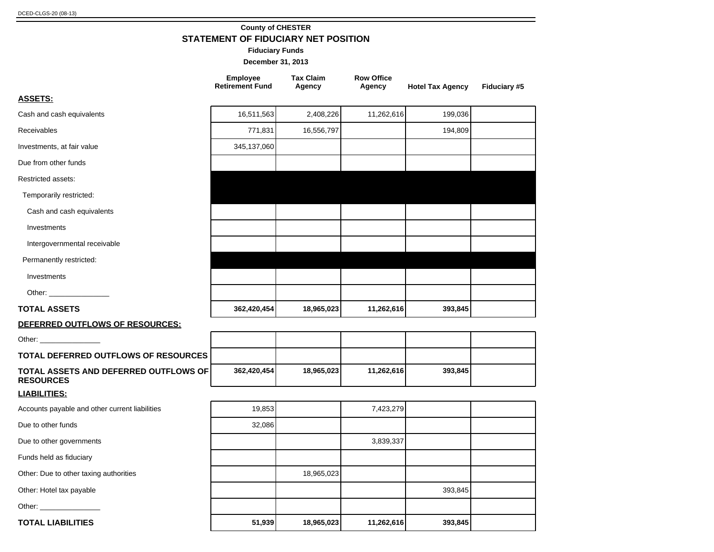#### **County of CHESTER STATEMENT OF FIDUCIARY NET POSITION**

**Fiduciary Funds**

|                                                           | <b>Employee</b><br><b>Retirement Fund</b> | <b>Tax Claim</b><br>Agency | <b>Row Office</b><br>Agency | <b>Hotel Tax Agency</b> | <b>Fiduciary #5</b> |
|-----------------------------------------------------------|-------------------------------------------|----------------------------|-----------------------------|-------------------------|---------------------|
| <u>ASSETS:</u>                                            |                                           |                            |                             |                         |                     |
| Cash and cash equivalents                                 | 16,511,563                                | 2,408,226                  | 11,262,616                  | 199,036                 |                     |
| <b>Receivables</b>                                        | 771,831                                   | 16,556,797                 |                             | 194,809                 |                     |
| Investments, at fair value                                | 345,137,060                               |                            |                             |                         |                     |
| Due from other funds                                      |                                           |                            |                             |                         |                     |
| Restricted assets:                                        |                                           |                            |                             |                         |                     |
| Temporarily restricted:                                   |                                           |                            |                             |                         |                     |
| Cash and cash equivalents                                 |                                           |                            |                             |                         |                     |
| Investments                                               |                                           |                            |                             |                         |                     |
| Intergovernmental receivable                              |                                           |                            |                             |                         |                     |
| Permanently restricted:                                   |                                           |                            |                             |                         |                     |
| Investments                                               |                                           |                            |                             |                         |                     |
| Other: _________________                                  |                                           |                            |                             |                         |                     |
| TOTAL ASSETS                                              | 362,420,454                               | 18,965,023                 | 11,262,616                  | 393,845                 |                     |
| DEFERRED OUTFLOWS OF RESOURCES:                           |                                           |                            |                             |                         |                     |
| Other: _______________                                    |                                           |                            |                             |                         |                     |
| TOTAL DEFERRED OUTFLOWS OF RESOURCES                      |                                           |                            |                             |                         |                     |
| TOTAL ASSETS AND DEFERRED OUTFLOWS OF<br><b>RESOURCES</b> | 362,420,454                               | 18,965,023                 | 11,262,616                  | 393,845                 |                     |
| <u>LIABILITIES:</u>                                       |                                           |                            |                             |                         |                     |
| Accounts payable and other current liabilities            | 19,853                                    |                            | 7,423,279                   |                         |                     |
| Due to other funds                                        | 32,086                                    |                            |                             |                         |                     |
| Due to other governments                                  |                                           |                            | 3,839,337                   |                         |                     |
| Funds held as fiduciary                                   |                                           |                            |                             |                         |                     |
| Other: Due to other taxing authorities                    |                                           | 18,965,023                 |                             |                         |                     |
| Other: Hotel tax payable                                  |                                           |                            |                             | 393,845                 |                     |
| Other: ______________                                     |                                           |                            |                             |                         |                     |
| <b>TOTAL LIABILITIES</b>                                  | 51,939                                    | 18,965,023                 | 11,262,616                  | 393,845                 |                     |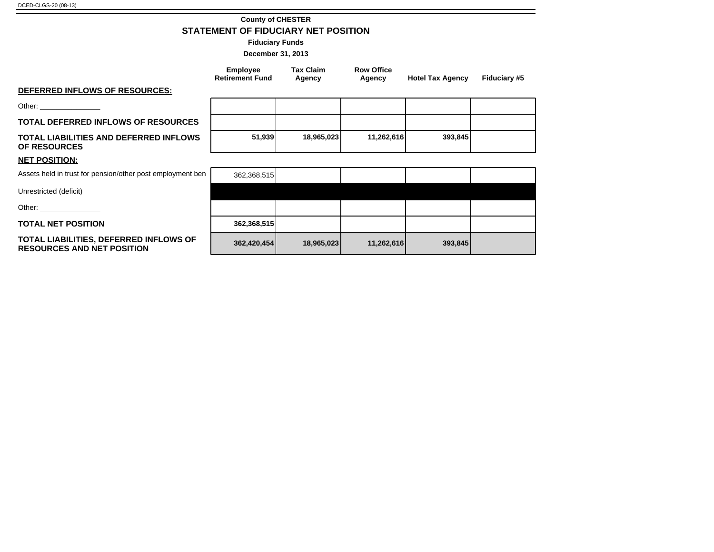#### **County of CHESTER STATEMENT OF FIDUCIARY NET POSITION**

**Fiduciary Funds**

|                                                                                                                                                                                                                                | <b>Employee</b><br><b>Retirement Fund</b> | <b>Tax Claim</b><br>Agency | <b>Row Office</b><br>Agency | <b>Hotel Tax Agency</b> | Fiduciary #5 |
|--------------------------------------------------------------------------------------------------------------------------------------------------------------------------------------------------------------------------------|-------------------------------------------|----------------------------|-----------------------------|-------------------------|--------------|
| DEFERRED INFLOWS OF RESOURCES:                                                                                                                                                                                                 |                                           |                            |                             |                         |              |
| Other: __________________                                                                                                                                                                                                      |                                           |                            |                             |                         |              |
| <b>TOTAL DEFERRED INFLOWS OF RESOURCES</b>                                                                                                                                                                                     |                                           |                            |                             |                         |              |
| <b>TOTAL LIABILITIES AND DEFERRED INFLOWS</b><br><b>OF RESOURCES</b>                                                                                                                                                           | 51,939                                    | 18,965,023                 | 11,262,616                  | 393,845                 |              |
| <b>NET POSITION:</b>                                                                                                                                                                                                           |                                           |                            |                             |                         |              |
| Assets held in trust for pension/other post employment ben                                                                                                                                                                     | 362,368,515                               |                            |                             |                         |              |
| Unrestricted (deficit)                                                                                                                                                                                                         |                                           |                            |                             |                         |              |
| Other: the contract of the contract of the contract of the contract of the contract of the contract of the contract of the contract of the contract of the contract of the contract of the contract of the contract of the con |                                           |                            |                             |                         |              |
| <b>TOTAL NET POSITION</b>                                                                                                                                                                                                      | 362,368,515                               |                            |                             |                         |              |
| TOTAL LIABILITIES, DEFERRED INFLOWS OF<br><b>RESOURCES AND NET POSITION</b>                                                                                                                                                    | 362,420,454                               | 18,965,023                 | 11,262,616                  | 393,845                 |              |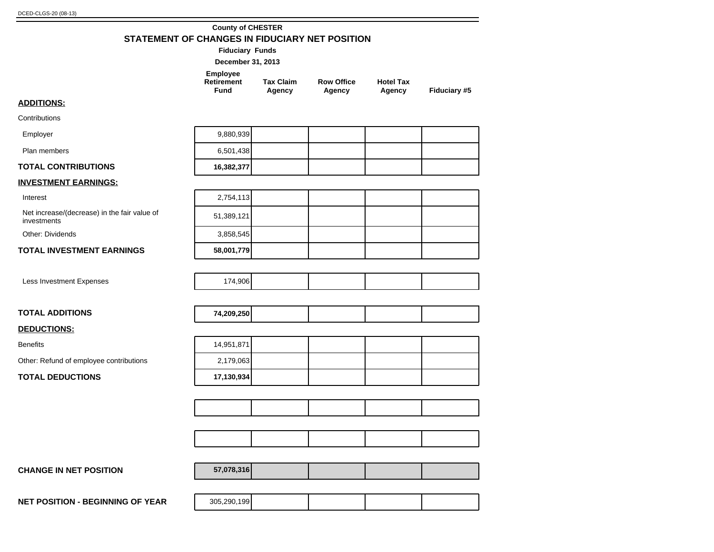#### **County of CHESTER STATEMENT OF CHANGES IN FIDUCIARY NET POSITION**

|                                                             | LV 111 1 1<br><b>Fiduciary Funds</b>         | יו ווחשט                   |                             |                            |              |
|-------------------------------------------------------------|----------------------------------------------|----------------------------|-----------------------------|----------------------------|--------------|
|                                                             | December 31, 2013                            |                            |                             |                            |              |
|                                                             | Employee<br><b>Retirement</b><br><b>Fund</b> | <b>Tax Claim</b><br>Agency | <b>Row Office</b><br>Agency | <b>Hotel Tax</b><br>Agency | Fiduciary #5 |
| <b>ADDITIONS:</b>                                           |                                              |                            |                             |                            |              |
| Contributions                                               |                                              |                            |                             |                            |              |
| Employer                                                    | 9,880,939                                    |                            |                             |                            |              |
| Plan members                                                | 6,501,438                                    |                            |                             |                            |              |
| <b>TOTAL CONTRIBUTIONS</b>                                  | 16,382,377                                   |                            |                             |                            |              |
| <b>INVESTMENT EARNINGS:</b>                                 |                                              |                            |                             |                            |              |
| Interest                                                    | 2,754,113                                    |                            |                             |                            |              |
| Net increase/(decrease) in the fair value of<br>investments | 51,389,121                                   |                            |                             |                            |              |
| <b>Other: Dividends</b>                                     | 3,858,545                                    |                            |                             |                            |              |
| <b>TOTAL INVESTMENT EARNINGS</b>                            | 58,001,779                                   |                            |                             |                            |              |
| Less Investment Expenses                                    | 174,906                                      |                            |                             |                            |              |
| <b>TOTAL ADDITIONS</b>                                      | 74,209,250                                   |                            |                             |                            |              |
| <b>DEDUCTIONS:</b>                                          |                                              |                            |                             |                            |              |
| <b>Benefits</b>                                             | 14,951,871                                   |                            |                             |                            |              |
| Other: Refund of employee contributions                     | 2,179,063                                    |                            |                             |                            |              |
| <b>TOTAL DEDUCTIONS</b>                                     | 17,130,934                                   |                            |                             |                            |              |
|                                                             |                                              |                            |                             |                            |              |
|                                                             |                                              |                            |                             |                            |              |
|                                                             |                                              |                            |                             |                            |              |
|                                                             |                                              |                            |                             |                            |              |
|                                                             |                                              |                            |                             |                            |              |
| <b>CHANGE IN NET POSITION</b>                               | 57,078,316                                   |                            |                             |                            |              |
|                                                             |                                              |                            |                             |                            |              |

**NET POSITION - BEGINNING OF YEAR** 205,290,199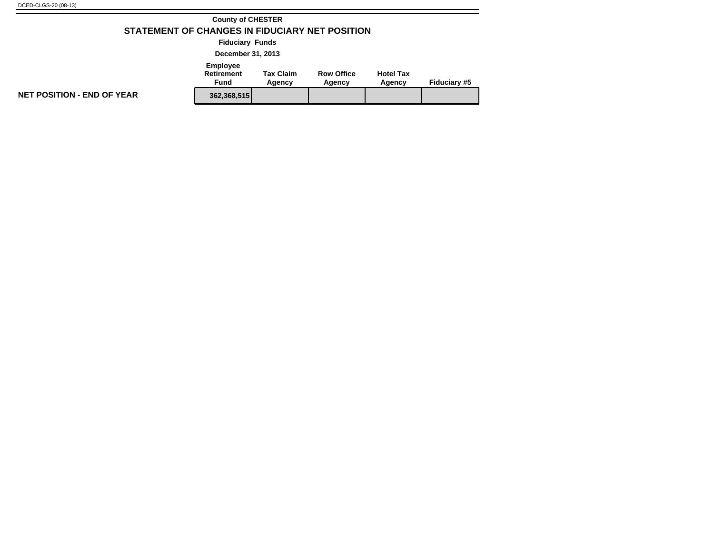#### **County of CHESTER STATEMENT OF CHANGES IN FIDUCIARY NET POSITION**

**Fiduciary Funds**

**December 31, 2013**

### **Employee**

| Retirement<br>Fund |             | <b>Tax Claim</b><br>Agency | <b>Row Office</b><br>Agency | <b>Hotel Tax</b><br>Agency | <b>Fiduciary #5</b> |
|--------------------|-------------|----------------------------|-----------------------------|----------------------------|---------------------|
|                    | 362.368.515 |                            |                             |                            |                     |

**NET POSITION - END OF YEAR**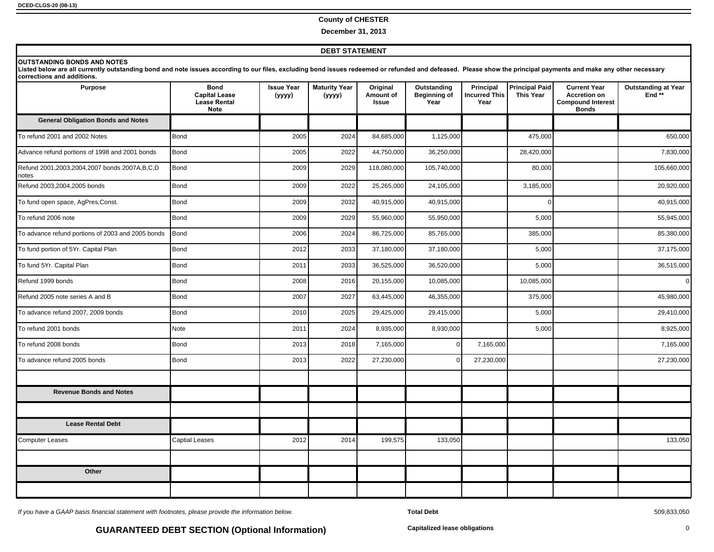#### **County of CHESTER**

**December 31, 2013**

#### **DEBT STATEMENT**

#### **<u><b>OUTSTANDING BONDS AND NOTES</u>**</u>

Listed below are all currently outstanding bond and note issues according to our files, excluding bond issues redeemed or refunded and defeased. Please show the principal payments and make any other necessary corrections and additions.

| <b>Purpose</b>                                        | <b>Bond</b><br><b>Capital Lease</b><br><b>Lease Rental</b><br><b>Note</b> | <b>Issue Year</b><br>(уууу) | <b>Maturity Year</b><br>(yyyy) | Original<br>Amount of<br>Issue | Outstanding<br><b>Beginning of</b><br>Year | Principal<br><b>Incurred This</b><br>Year | <b>Principal Paid</b><br><b>This Year</b> | <b>Current Year</b><br><b>Accretion on</b><br><b>Compound Interest</b><br><b>Bonds</b> | <b>Outstanding at Year</b><br>End** |
|-------------------------------------------------------|---------------------------------------------------------------------------|-----------------------------|--------------------------------|--------------------------------|--------------------------------------------|-------------------------------------------|-------------------------------------------|----------------------------------------------------------------------------------------|-------------------------------------|
| <b>General Obligation Bonds and Notes</b>             |                                                                           |                             |                                |                                |                                            |                                           |                                           |                                                                                        |                                     |
| To refund 2001 and 2002 Notes                         | Bond                                                                      | 2005                        | 2024                           | 84,685,000                     | 1,125,000                                  |                                           | 475,000                                   |                                                                                        | 650,000                             |
| Advance refund portions of 1998 and 2001 bonds        | Bond                                                                      | 2005                        | 2022                           | 44,750,000                     | 36,250,000                                 |                                           | 28,420,000                                |                                                                                        | 7,830,000                           |
| Refund 2001,2003,2004,2007 bonds 2007A,B,C,D<br>notes | Bond                                                                      | 2009                        | 2029                           | 118,080,000                    | 105,740,000                                |                                           | 80,000                                    |                                                                                        | 105,660,000                         |
| Refund 2003,2004,2005 bonds                           | Bond                                                                      | 2009                        | 2022                           | 25,265,000                     | 24,105,000                                 |                                           | 3,185,000                                 |                                                                                        | 20,920,000                          |
| To fund open space, AgPres, Const.                    | Bond                                                                      | 2009                        | 2032                           | 40,915,000                     | 40,915,000                                 |                                           | $\Omega$                                  |                                                                                        | 40,915,000                          |
| To refund 2006 note                                   | Bond                                                                      | 2009                        | 2029                           | 55,960,000                     | 55,950,000                                 |                                           | 5,000                                     |                                                                                        | 55,945,000                          |
| To advance refund portions of 2003 and 2005 bonds     | Bond                                                                      | 2006                        | 2024                           | 86,725,000                     | 85,765,000                                 |                                           | 385,000                                   |                                                                                        | 85,380,000                          |
| To fund portion of 5Yr. Capital Plan                  | Bond                                                                      | 2012                        | 2033                           | 37,180,000                     | 37,180,000                                 |                                           | 5,000                                     |                                                                                        | 37,175,000                          |
| To fund 5Yr. Capital Plan                             | Bond                                                                      | 2011                        | 2033                           | 36,525,000                     | 36,520,000                                 |                                           | 5,000                                     |                                                                                        | 36,515,000                          |
| Refund 1999 bonds                                     | Bond                                                                      | 2008                        | 2016                           | 20,155,000                     | 10,085,000                                 |                                           | 10,085,000                                |                                                                                        | $\mathbf{0}$                        |
| Refund 2005 note series A and B                       | Bond                                                                      | 2007                        | 2027                           | 63,445,000                     | 46,355,000                                 |                                           | 375,000                                   |                                                                                        | 45,980,000                          |
| To advance refund 2007, 2009 bonds                    | Bond                                                                      | 2010                        | 2025                           | 29,425,000                     | 29,415,000                                 |                                           | 5,000                                     |                                                                                        | 29,410,000                          |
| To refund 2001 bonds                                  | <b>Note</b>                                                               | 2011                        | 2024                           | 8,935,000                      | 8,930,000                                  |                                           | 5,000                                     |                                                                                        | 8,925,000                           |
| To refund 2008 bonds                                  | Bond                                                                      | 2013                        | 2018                           | 7,165,000                      |                                            | 7,165,000                                 |                                           |                                                                                        | 7,165,000                           |
| To advance refund 2005 bonds                          | Bond                                                                      | 2013                        | 2022                           | 27,230,000                     |                                            | 27,230,000                                |                                           |                                                                                        | 27,230,000                          |
| <b>Revenue Bonds and Notes</b>                        |                                                                           |                             |                                |                                |                                            |                                           |                                           |                                                                                        |                                     |
|                                                       |                                                                           |                             |                                |                                |                                            |                                           |                                           |                                                                                        |                                     |
| <b>Lease Rental Debt</b>                              |                                                                           |                             |                                |                                |                                            |                                           |                                           |                                                                                        |                                     |
| <b>Computer Leases</b>                                | <b>Captial Leases</b>                                                     | 2012                        | 2014                           | 199,575                        | 133,050                                    |                                           |                                           |                                                                                        | 133,050                             |
|                                                       |                                                                           |                             |                                |                                |                                            |                                           |                                           |                                                                                        |                                     |
| Other                                                 |                                                                           |                             |                                |                                |                                            |                                           |                                           |                                                                                        |                                     |
|                                                       |                                                                           |                             |                                |                                |                                            |                                           |                                           |                                                                                        |                                     |

If you have a GAAP basis financial statement with footnotes, please provide the information below. **Total Debt** 509,833,050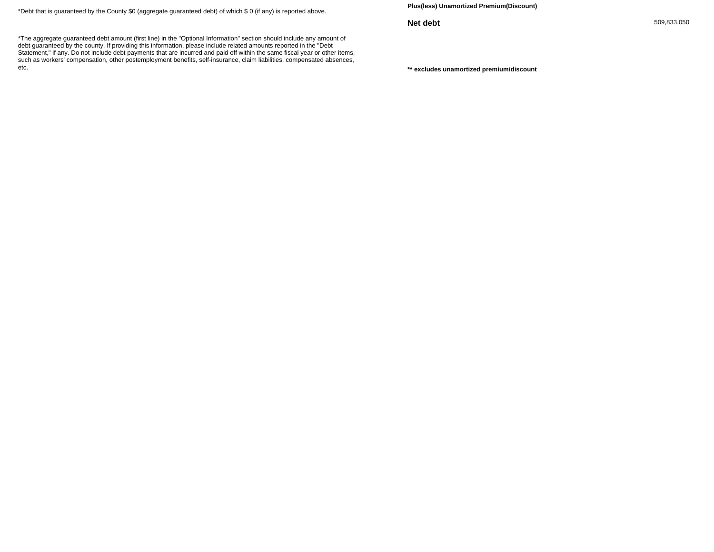\*Debt that is guaranteed by the County \$0 (aggregate guaranteed debt) of which \$ 0 (if any) is reported above.

**Plus(less) Unamortized Premium(Discount)**

**Net debt** 509,833,050

\*\* excludes unamortized premium/discount

\*The aggregate guaranteed debt amount (first line) in the "Optional Information" section should include any amount of debt guaranteed by the county. If providing this information, please include related amounts reported in the "Debt Statement," if any. Do not include debt payments that are incurred and paid off within the same fiscal year or other items, such as workers' compensation, other postemployment benefits, self-insurance, claim liabilities, compensated absences, etc.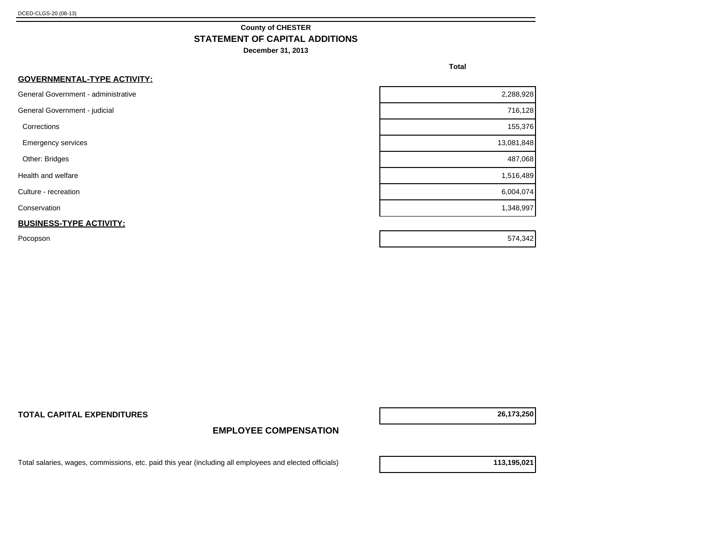#### **County of CHESTER STATEMENT OF CAPITAL ADDITIONS**

**December 31, 2013**

**Total**

| General Government - administrative<br>2,288,928<br>716,128<br>General Government - judicial<br>155,376<br>Corrections<br>13,081,848<br><b>Emergency services</b><br>487,068<br>Other: Bridges<br>1,516,489<br>Health and welfare<br>6,004,074<br>Culture - recreation<br>1,348,997<br>Conservation<br><b>BUSINESS-TYPE ACTIVITY:</b> | <b>GOVERNMENTAL-TYPE ACTIVITY:</b> |  |
|---------------------------------------------------------------------------------------------------------------------------------------------------------------------------------------------------------------------------------------------------------------------------------------------------------------------------------------|------------------------------------|--|
|                                                                                                                                                                                                                                                                                                                                       |                                    |  |
|                                                                                                                                                                                                                                                                                                                                       |                                    |  |
|                                                                                                                                                                                                                                                                                                                                       |                                    |  |
|                                                                                                                                                                                                                                                                                                                                       |                                    |  |
|                                                                                                                                                                                                                                                                                                                                       |                                    |  |
|                                                                                                                                                                                                                                                                                                                                       |                                    |  |
|                                                                                                                                                                                                                                                                                                                                       |                                    |  |
|                                                                                                                                                                                                                                                                                                                                       |                                    |  |
|                                                                                                                                                                                                                                                                                                                                       |                                    |  |

Pocopson 574,342

**TOTAL CAPITAL EXPENDITURES 26,173,250**

#### **EMPLOYEE COMPENSATION**

Total salaries, wages, commissions, etc. paid this year (including all employees and elected officials) **113,195,021**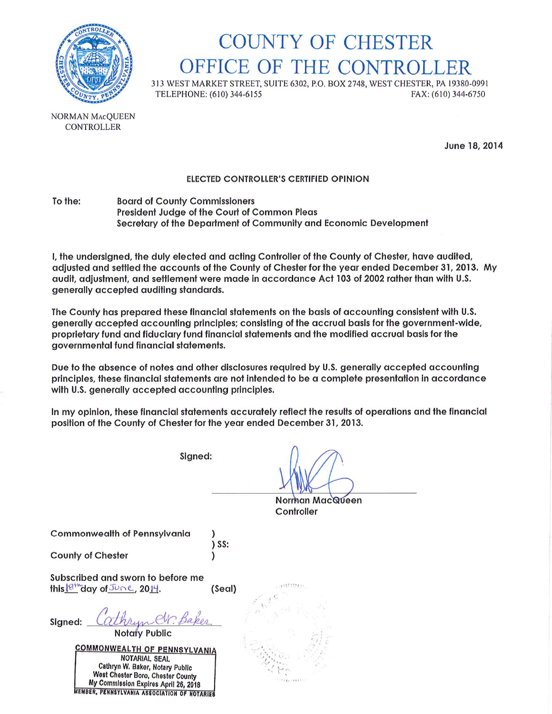

## **COUNTY OF CHESTER** OFFICE OF THE CONTROLLER

313 WEST MARKET STREET, SUITE 6302, P.O. BOX 2748, WEST CHESTER, PA 19380-0991 TELEPHONE: (610) 344-6155 FAX: (610) 344-6750

NORMAN MACQUEEN **CONTROLLER** 

June 18, 2014

#### ELECTED CONTROLLER'S CERTIFIED OPINION

To the: **Board of County Commissioners** President Judge of the Court of Common Pleas Secretary of the Department of Community and Economic Development

I, the undersigned, the duly elected and acting Controller of the County of Chester, have audited, adjusted and settled the accounts of the County of Chester for the year ended December 31, 2013. My audit, adjustment, and settlement were made in accordance Act 103 of 2002 rather than with U.S. generally accepted auditing standards.

The County has prepared these financial statements on the basis of accounting consistent with U.S. generally accepted accounting principles; consisting of the accrual basis for the government-wide, proprietary fund and fiduciary fund financial statements and the modified accrual basis for the governmental fund financial statements.

Due to the absence of notes and other disclosures required by U.S. generally accepted accounting principles, these financial statements are not intended to be a complete presentation in accordance with U.S. generally accepted accounting principles.

In my opinion, these financial statements accurately reflect the results of operations and the financial position of the County of Chester for the year ended December 31, 2013.

Signed:

 $)$  SS:

Norman MacQueen Controller

**Commonwealth of Pennsylvania** 

**County of Chester** 

Subscribed and sworn to before me this  $18^{10}$  day of June, 2014. (Seal)

signed: Cathryn Cr. Baker

**Notary Public** 

**COMMONWEALTH OF PENNSYLVANIA** NOTARIAL SEAL Cathryn W. Baker, Notary Public West Chester Boro, Chester County My Commission Expires April 26, 2018 MEMBER, PENNSYLVANIA ASSOCIATION OF NOTARIES